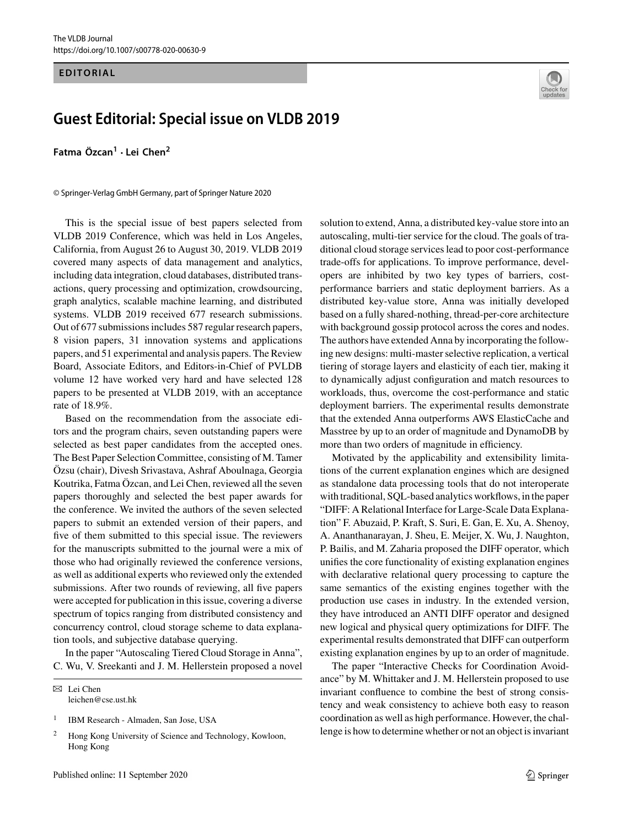## **EDITORIAL**

## **Guest Editorial: Special issue on VLDB 2019**

**Fatma Özcan<sup>1</sup> · Lei Chen<sup>2</sup>**

© Springer-Verlag GmbH Germany, part of Springer Nature 2020

This is the special issue of best papers selected from VLDB 2019 Conference, which was held in Los Angeles, California, from August 26 to August 30, 2019. VLDB 2019 covered many aspects of data management and analytics, including data integration, cloud databases, distributed transactions, query processing and optimization, crowdsourcing, graph analytics, scalable machine learning, and distributed systems. VLDB 2019 received 677 research submissions. Out of 677 submissions includes 587 regular research papers, 8 vision papers, 31 innovation systems and applications papers, and 51 experimental and analysis papers. The Review Board, Associate Editors, and Editors-in-Chief of PVLDB volume 12 have worked very hard and have selected 128 papers to be presented at VLDB 2019, with an acceptance rate of 18.9%.

Based on the recommendation from the associate editors and the program chairs, seven outstanding papers were selected as best paper candidates from the accepted ones. The Best Paper Selection Committee, consisting of M. Tamer Özsu (chair), Divesh Srivastava, Ashraf Aboulnaga, Georgia Koutrika, Fatma Özcan, and Lei Chen, reviewed all the seven papers thoroughly and selected the best paper awards for the conference. We invited the authors of the seven selected papers to submit an extended version of their papers, and five of them submitted to this special issue. The reviewers for the manuscripts submitted to the journal were a mix of those who had originally reviewed the conference versions, as well as additional experts who reviewed only the extended submissions. After two rounds of reviewing, all five papers were accepted for publication in this issue, covering a diverse spectrum of topics ranging from distributed consistency and concurrency control, cloud storage scheme to data explanation tools, and subjective database querying.

In the paper "Autoscaling Tiered Cloud Storage in Anna", C. Wu, V. Sreekanti and J. M. Hellerstein proposed a novel

 $\boxtimes$  Lei Chen leichen@cse.ust.hk

<sup>1</sup> IBM Research - Almaden, San Jose, USA



solution to extend, Anna, a distributed key-value store into an autoscaling, multi-tier service for the cloud. The goals of traditional cloud storage services lead to poor cost-performance trade-offs for applications. To improve performance, developers are inhibited by two key types of barriers, costperformance barriers and static deployment barriers. As a distributed key-value store, Anna was initially developed based on a fully shared-nothing, thread-per-core architecture with background gossip protocol across the cores and nodes. The authors have extended Anna by incorporating the following new designs: multi-master selective replication, a vertical tiering of storage layers and elasticity of each tier, making it to dynamically adjust configuration and match resources to workloads, thus, overcome the cost-performance and static deployment barriers. The experimental results demonstrate that the extended Anna outperforms AWS ElasticCache and Masstree by up to an order of magnitude and DynamoDB by more than two orders of magnitude in efficiency.

Motivated by the applicability and extensibility limitations of the current explanation engines which are designed as standalone data processing tools that do not interoperate with traditional, SQL-based analytics workflows, in the paper "DIFF: A Relational Interface for Large-Scale Data Explanation" F. Abuzaid, P. Kraft, S. Suri, E. Gan, E. Xu, A. Shenoy, A. Ananthanarayan, J. Sheu, E. Meijer, X. Wu, J. Naughton, P. Bailis, and M. Zaharia proposed the DIFF operator, which unifies the core functionality of existing explanation engines with declarative relational query processing to capture the same semantics of the existing engines together with the production use cases in industry. In the extended version, they have introduced an ANTI DIFF operator and designed new logical and physical query optimizations for DIFF. The experimental results demonstrated that DIFF can outperform existing explanation engines by up to an order of magnitude.

The paper "Interactive Checks for Coordination Avoidance" by M. Whittaker and J. M. Hellerstein proposed to use invariant confluence to combine the best of strong consistency and weak consistency to achieve both easy to reason coordination as well as high performance. However, the challenge is how to determine whether or not an object is invariant

<sup>&</sup>lt;sup>2</sup> Hong Kong University of Science and Technology, Kowloon, Hong Kong